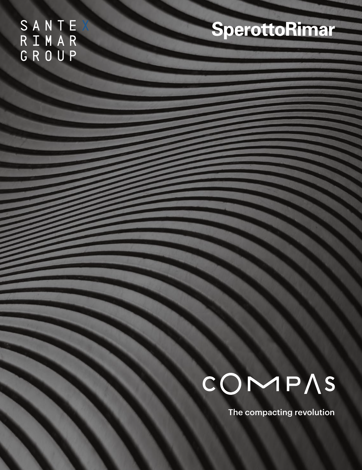SANTE<br>RIMAR<br>GROUP

### SperottoRimar

# COMPAS

The compacting revolution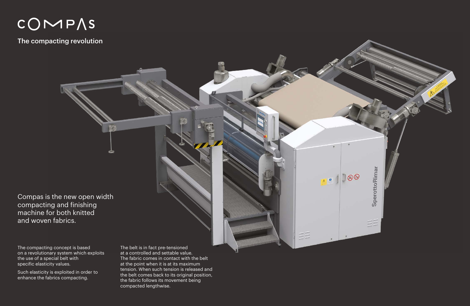## COMPAS

The compacting revolution

The compacting concept is based on a revolutionary system which exploits the use of a special belt with specific elasticity values.

Such elasticity is exploited in order to enhance the fabrics compacting.

The belt is in fact pre-tensioned at a controlled and settable value. The fabric comes in contact with the belt at the point when it is at its maximum tension. When such tension is released and the belt comes back to its original position, the fabric follows its movement being compacted lengthwise.



 $\overline{\mathbb{R}}$ 

 $\pmb{\sigma}$ 

ΞĒ

Compas is the new open width compacting and finishing machine for both knitted and woven fabrics.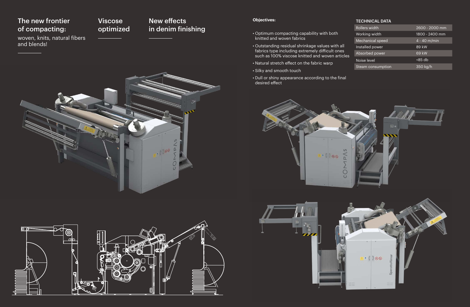### TECHNICAL DATA

| th       | $2600 - 2000$ mm |  |  |
|----------|------------------|--|--|
| idth     | 1800 - 2400 mm   |  |  |
| I speed  | $4 - 40$ m/min   |  |  |
| ower     | $89$ kW          |  |  |
| oower    | 69 kW            |  |  |
|          | $<85$ db         |  |  |
| sumption | 350 kg/h         |  |  |